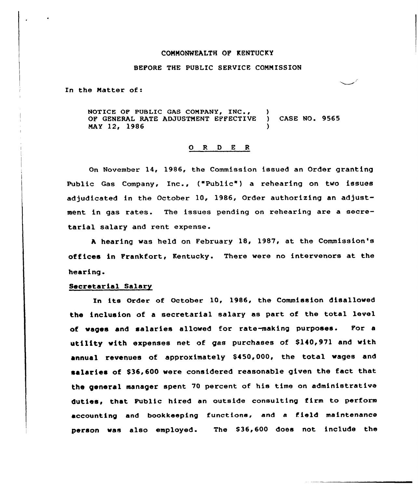### CONNONWEALTH OF KENTUCKY

# BEFORE THE PUBLIC SERVICE CONN ISSION

In the Natter of:

NOTICE OF PUBLIC GAS COMPANY, INC., ) OF GENERAL RATE ADJUSTMENT EFFECTIVE ) CASE NO. 9565 NAY 12, 1986 )

#### 0 R <sup>D</sup> E <sup>R</sup>

On November 14, 1986, the Commission issued an Order granting Public Gas Company, Inc., ("Public") a rehearing on two issues adjudicated in the October 10, 1986, Order authorizing an adjustment in gas rates. The issues pending on rehearing are a secretarial salary and rent expense.

A hearing was held on February 18, 1987, at the Commission's offices in Frankfort, Kentucky. There were no intervenors at the hearing.

## Secretarial Salary

In its Order of October 10, 1986, the Commission disallowed the inclusion of a secretarial salary as part of the total level of wages and salaries allowed for ratemaking purposes. For a utility with expenses net of gas purchases of \$140,971 and with annual revenues of approximately \$450,000, the total wages and salaries of \$36,600 were considered reasonable given the fact that the general manager spent 70 percent of his time on administrative duties, that Public hired an outside consulting firm to perform accounting and bookkeeping functions, and a field maintenance person was also employed. The \$36,600 does not inc1ude the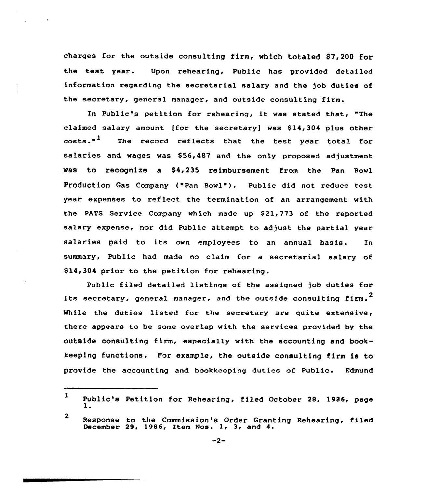charges for the outside consulting firm, which totaled \$7,200 for the test year. Upon rehearing, Public has provided detailed information regarding the secretarial salary and the job duties of the secretary, general manager, and outside consulting firm.

In Public's petition for rehearing, it was stated that, "The claimed salary amount [for the secretary] was  $$14,304$  plus other  $\csc^{4}$  The record reflects that the test year total for salaries and wages was \$56,487 and the only proposed adjustment was to recognize a \$4,235 reimbursement from the Pan Bowl Production Gas Company ("Pan Bowl"). Public did not reduce test year expenses to reflect the termination of an arrangement with the PATS Service Company which made up \$21,773 of the reported salary expense, nor did Public attempt to adjust the partial year salaries paid to its own employees to an annual basis. In summary, Public had made no claim for a secretarial salary of \$14,304 prior to the petition for rehearing.

Public filed detailed listings of the assigned job duties for its secretary, general manager, and the outside consulting firm. $^{\text{\textbf{2}}}$ While the duties listed for the secretary are quite extensive, there appears to be some overlap with the services provided by the outside consulting firm, especially with the accounting and bookkeeping functions. For example, the outside consulting firm is to provide the accounting and bookkeeping duties of Public. Edmund

 $\mathbf{1}$ Public's Petition for Rehearing, filed October 28, 1986, page 1.

 $\overline{2}$ Response to the Commission's Order Granting Rehearing, filed December 29, 1986, Item Nos. 1, 3, and 4.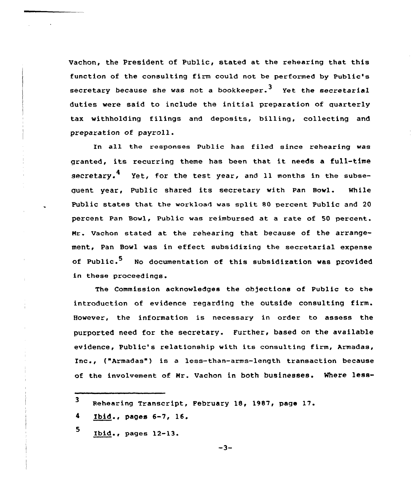Vachon, the President of Public, stated at the rehearing that this function of the consulting firm could not be performed by Public's secretary because she was not a bookkeeper.<sup>3</sup> Yet the secretarial duties were said to include the initial preparation of quarterly tax withholding filings and deposits, billing, collecting and preparation of payroll.

In all the responses Public has filed since rehearing was granted, its recurring theme has been that it needs <sup>a</sup> full-time secretary.<sup>4</sup> Yet, for the test year, and 11 months in the subseauent year, Public shared its secretary with Pan Bowl. While Public states that the workload was split 80 percent Public and 20 percent Pan Bowl, Public was reimbursed at a rate of 50 percent. Nr. vachon stated at the rehearing that because of the arrangement, Pan Bowl was in effect subsidizing the secretarial expense of Public.<sup>5</sup> No documentation of this subsidization was provided in these proceedings

The Commission acknowledges the objections of Public to the introduction of evidence regarding the outside consulting firm. However, the information is necessary in order to assess the purported need for the secretary. Further, based on the available evidence, Public's relationship with its consulting firm, Armadas, Inc., {"Armadas") is <sup>a</sup> less-than-arms-length transaction because of the involvement of Nr. Vachon in both businesses. Where less-

<sup>3</sup> Rehearing Transcript, February 18, 1987, page 17.

<sup>4</sup> Ibid., pages 6-7, 16.

<sup>5</sup> Ibid., pages 12-13.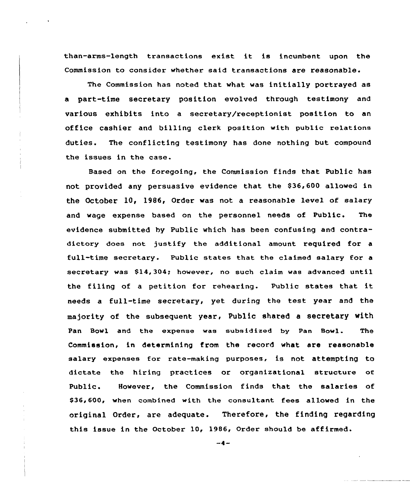than-arms-length transactions exist. it is incumbent upon the Commission to consider whether said transactions are reasonable.

The Commission has noted that what was initially portrayed as a part-time secretary position evolved through testimony and various exhibits into a secretary/receptionist position to an office cashier and billing clerk position with public relations duties. The conflicting testimony has done nothing but compound the issues in the case.

Based on the foregoing, the Commission finds that Public has not provided any persuasive evidence that the \$36,600 allowed in the October 10, 1986, Order was not a reasonable level of salary and wage expense based on the personnel needs of Public. The evidence submitted by Public which has been confusing and contradictory does not justify the additional amount required for a full-time secretary. Public states that the claimed salary for a secretary was  $$14,304;$  however, no such claim was advanced until the filing of <sup>a</sup> petition for rehearing. Public states that it needs a full-time secretary, yet during the test year and the majority of the subsequent year, Public shared a secretary with Pan Bowl and the expense was subsidized by Pan Bowl. The Commission, in determining from the record what are reasonable salary expenses for rate-making purposes, is not attempting to dictate the hiring practices or organizational structure of Public. However, the Commission finds that the salaries of \$36,600, when combined with the consultant fees allowed in the original Order, are adequate. Therefore, the finding regarding this issue in the October 10, 19B6, Order should be affirmed.

 $-4-$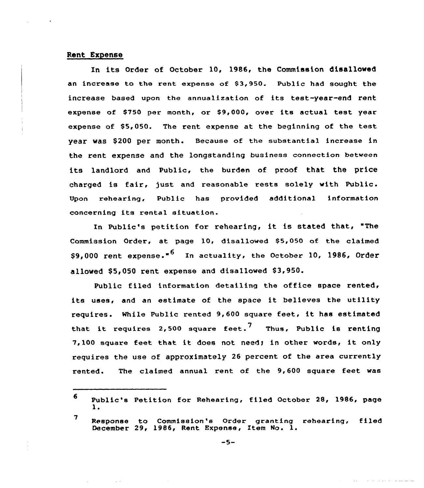## Rent Expense

In its Order of October 10, 1986, the Commission disallowed an increase to the rent expense of 83,950. Public had sought the increase based upon the annualization of its test-year-end rent expense of \$750 per month, or \$9,000, over its actual test year expense of \$5,050. The rent expense at the beginning of the test year was \$200 per month. Because of the substantial increase in the rent expense and the longstanding business connection between its landlord and Public, the burden of proof that the price charged is fair, just and reasonable rests solely with Public. Upon rehearing, Public has provided additional information concerning its rental situation.

In Public's petition for rehearing< it is stated that, "The Commission Order, at page 10, disallowed \$5,050 of the claimed \$9,000 rent expense."<sup>6</sup> In actuality, the October 10, 1986, Order allowed \$5,050 rent expense and disallowed \$3,950.

Public filed information detailing the office space rented, its uses, and an estimate of the space it believes the utility requires. Mhile Public rented 9,600 square feet, it has estimated that it requires 2,500 square feet.<sup>7</sup> Thus, Public is renting 7,100 square feet that it does not needy in other words, it only requires the use of approximately 26 percent of the area currently rented. The claimed annual rent of the 9,600 square feet was

<sup>6</sup> Public's Petition for Rehearing, filed October 28, 1986, page 1.

<sup>7</sup> Response to Commission's Order granting rehearing, filed December 29, 1986, Rent Expense, Item No. 1.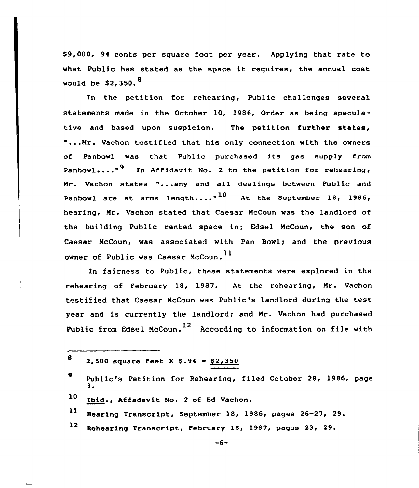\$ 9,000, 94 cents per square foot per year. Applying that rate to what Public has stated as the space it requires, the annual cost would be  $$2,350.^8$ 

In the petition fox reheaxing, Public challenges several statements made in the October 10, l986, Order as being speculative and based upon suspicion. The petition further states, "...Mr. Vachon testified that his only connection with the owners of Panbowl was that Public purchased its gas supply from Panbowl...."<sup>9</sup> In Affidavit No. 2 to the petition for rehearing, Mr. Vachon states "...any and all dealings between Public and Panbowl are at arms length.... $n^{10}$  At the September 18, 1986, hearing, Mr. Vachon stated that Caesax McCoun was the landlord of the building Public rented space in; Edsel McCoun, the son of Caesax McCoun, was associated with Pan Bowl; and the previous owner of Public was Caesar McCoun.<sup>11</sup>

In fairness to Public, these statements vere explored in the rehearing of February 18, 1987. At the rehearing, Mr. Vachon testified that Caesar McCoun vas Public's landlord during the test year and is currently the landlord; and Mr. Vachon had purchased Public from Edsel McCoun.<sup>12</sup> According to information on file with

- 11 Hearing Transcript, September 18, 1986, pages 26-27, 29.
- 12 Rehearing Transcript, February 18, 1987, pages 23, 29.

<sup>8 2,500</sup> square feet X \$.94 =  $$2,350$ 

<sup>9</sup> Public's Petition for Rehearing, filed October 28, 1986, page

<sup>10</sup> Ibid., hffadavit Mo. <sup>2</sup> of Fd Vachon.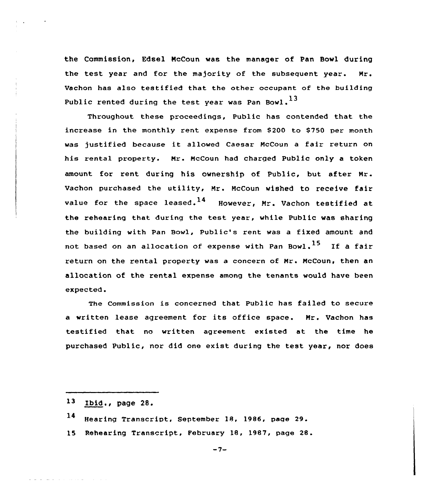the Commission, Edsel NcCoun was the manager of Pan Bowl during the test year and for the majority of the subsequent year. Nr. Vachon has also testified that the other occupant of the building Public rented during the test year was Pan Bowl.<sup>13</sup>

Throughout these proceedings, Public has contended that the increase in the monthly rent expense from \$200 to \$750 per month was justified because it allowed Caesar McCoun <sup>a</sup> fair return on his rental property. Mr. McCoun had charged Public only a token amount for rent during his ownership of Public, but aftex Nr. Vachon purchased the utility, Nr. NcCoun wished to receive fair value for the space leased.<sup>14</sup> However, Mr. Vachon testified at the rehearing that during the test year, while Public was sharing the building with Pan Bowl, Public's rent was a fixed amount and not based on an allocation of expense with Pan Bowl.<sup>15</sup> If a fair return on the rental property was a concern of Mr. NcCoun, then an allocation of the rental expense among the tenants would have been expected.

The Commission is concerned that Public has failed to secure <sup>a</sup> written lease agreement for its office space. Nr. Vachon has testified that no written agreement existed at the time he purchased Public, nor did one exist during the test year, nor does

the committee of the com-

- <sup>14</sup> Hearing Transcript, September 18, 1986, page 29.
- 15 Rehearing Transcript, February 18, 1987, page 28.

 $-7-$ 

<sup>13</sup> Ibid., page 28.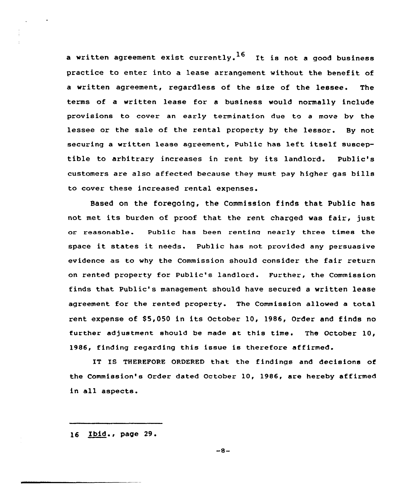a written agreement exist currently.<sup>16</sup> It is not a good business practice to enter into a lease arrangement without the benefit of a written agreement, regardless of the size of the lessee. The terms of a written lease for a business would normally include provisions to cover an early termination due to a move by the lessee or the sale of the zental property by the lessor. By not secuzing <sup>a</sup> written lease agreement, Public has left itself susceptible to arhitzary increases in zent by its landlord. Public's customers aze also affected because they must pay higher gas bills to cover these increased rental expenses.

Based on the foregoing, the Commission finds that Public has not met its burden of pzoof that the rent charged was fair, just or zeasonable. Public has been rentina nearly three times the space it states it needs. Public has not provided any persuasive evidence as to why the Commission should consider the fair return on zented pzopezty for Public's landlord. Further, the Commission finds that Public's management should have secured a written lease agreement foz the rented property. The Commission allowed a total rent expense of \$5,050 in its October 10, 1986, Order and finds no further adjustment should be made at this time. The October  $10$ , 1986, finding regarding this issue is therefore affirmed.

IT IS THEREFORE ORDERED that the findings and decisions of the Commission's Order dated October 10, 1986, are hereby affirmed in all aspects.

16 Ibid., page 29.

 $-8-$